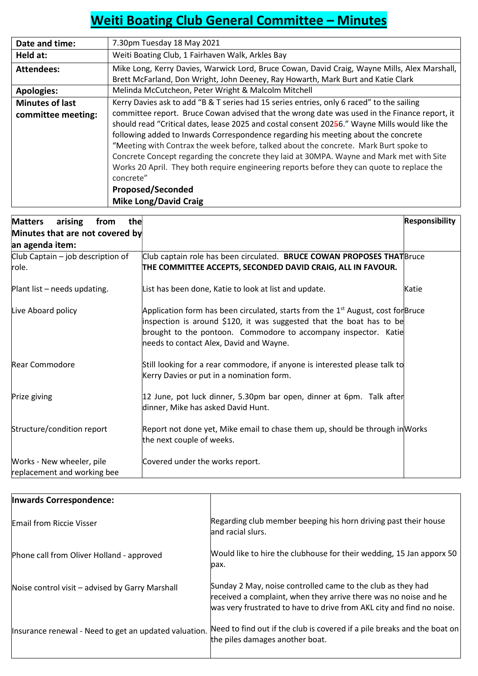## Weiti Boating Club General Committee – Minutes

| Date and time:         | 7.30pm Tuesday 18 May 2021                                                                                                                                                                                                                                                                                                                                                                                                                                                                                                                                                                                                                     |
|------------------------|------------------------------------------------------------------------------------------------------------------------------------------------------------------------------------------------------------------------------------------------------------------------------------------------------------------------------------------------------------------------------------------------------------------------------------------------------------------------------------------------------------------------------------------------------------------------------------------------------------------------------------------------|
| Held at:               | Weiti Boating Club, 1 Fairhaven Walk, Arkles Bay                                                                                                                                                                                                                                                                                                                                                                                                                                                                                                                                                                                               |
| <b>Attendees:</b>      | Mike Long, Kerry Davies, Warwick Lord, Bruce Cowan, David Craig, Wayne Mills, Alex Marshall,                                                                                                                                                                                                                                                                                                                                                                                                                                                                                                                                                   |
|                        | Brett McFarland, Don Wright, John Deeney, Ray Howarth, Mark Burt and Katie Clark                                                                                                                                                                                                                                                                                                                                                                                                                                                                                                                                                               |
| <b>Apologies:</b>      | Melinda McCutcheon, Peter Wright & Malcolm Mitchell                                                                                                                                                                                                                                                                                                                                                                                                                                                                                                                                                                                            |
| <b>Minutes of last</b> | Kerry Davies ask to add "B & T series had 15 series entries, only 6 raced" to the sailing                                                                                                                                                                                                                                                                                                                                                                                                                                                                                                                                                      |
| committee meeting:     | committee report. Bruce Cowan advised that the wrong date was used in the Finance report, it<br>should read "Critical dates, lease 2025 and costal consent 20256." Wayne Mills would like the<br>following added to Inwards Correspondence regarding his meeting about the concrete<br>"Meeting with Contrax the week before, talked about the concrete. Mark Burt spoke to<br>Concrete Concept regarding the concrete they laid at 30MPA. Wayne and Mark met with Site<br>Works 20 April. They both require engineering reports before they can quote to replace the<br>concrete"<br><b>Proposed/Seconded</b><br><b>Mike Long/David Craig</b> |

| arising<br>the<br><b>Matters</b><br>from                 |                                                                                                                                                                      | <b>Responsibility</b> |
|----------------------------------------------------------|----------------------------------------------------------------------------------------------------------------------------------------------------------------------|-----------------------|
| Minutes that are not covered by                          |                                                                                                                                                                      |                       |
| an agenda item:                                          |                                                                                                                                                                      |                       |
| Club Captain – job description of                        | Club captain role has been circulated. BRUCE COWAN PROPOSES THAT Bruce                                                                                               |                       |
| role.                                                    | THE COMMITTEE ACCEPTS, SECONDED DAVID CRAIG, ALL IN FAVOUR.                                                                                                          |                       |
| Plant list - needs updating.                             | List has been done, Katie to look at list and update.                                                                                                                | Katie                 |
| Live Aboard policy                                       | Application form has been circulated, starts from the 1 <sup>st</sup> August, cost for Bruce<br>inspection is around \$120, it was suggested that the boat has to be |                       |
|                                                          | brought to the pontoon. Commodore to accompany inspector. Katie<br>needs to contact Alex, David and Wayne.                                                           |                       |
| <b>Rear Commodore</b>                                    | Still looking for a rear commodore, if anyone is interested please talk to<br>Kerry Davies or put in a nomination form.                                              |                       |
| Prize giving                                             | 12 June, pot luck dinner, 5.30pm bar open, dinner at 6pm. Talk after<br>dinner, Mike has asked David Hunt.                                                           |                       |
| Structure/condition report                               | Report not done yet, Mike email to chase them up, should be through in Works<br>the next couple of weeks.                                                            |                       |
| Works - New wheeler, pile<br>replacement and working bee | Covered under the works report.                                                                                                                                      |                       |

| Inwards Correspondence:                               |                                                                                                                                                                                                          |
|-------------------------------------------------------|----------------------------------------------------------------------------------------------------------------------------------------------------------------------------------------------------------|
| <b>Email from Riccie Visser</b>                       | Regarding club member beeping his horn driving past their house<br>and racial slurs.                                                                                                                     |
| Phone call from Oliver Holland - approved             | Would like to hire the clubhouse for their wedding, 15 Jan apporx 50<br>pax.                                                                                                                             |
| Noise control visit – advised by Garry Marshall       | Sunday 2 May, noise controlled came to the club as they had<br>received a complaint, when they arrive there was no noise and he<br>was very frustrated to have to drive from AKL city and find no noise. |
| Insurance renewal - Need to get an updated valuation. | Need to find out if the club is covered if a pile breaks and the boat on<br>the piles damages another boat.                                                                                              |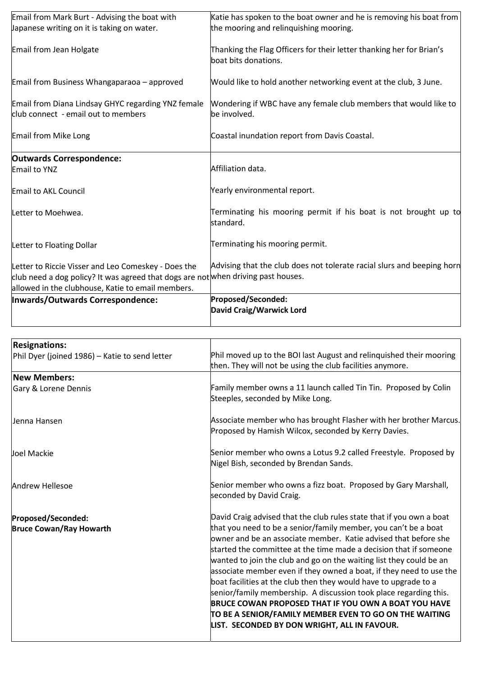|                                                                                                                                          | David Craig/Warwick Lord                                                                                      |
|------------------------------------------------------------------------------------------------------------------------------------------|---------------------------------------------------------------------------------------------------------------|
| Inwards/Outwards Correspondence:                                                                                                         | Proposed/Seconded:                                                                                            |
| allowed in the clubhouse, Katie to email members.                                                                                        |                                                                                                               |
| Letter to Riccie Visser and Leo Comeskey - Does the<br>club need a dog policy? It was agreed that dogs are not when driving past houses. |                                                                                                               |
|                                                                                                                                          | Advising that the club does not tolerate racial slurs and beeping horn                                        |
| Letter to Floating Dollar                                                                                                                | Terminating his mooring permit.                                                                               |
| Letter to Moehwea.                                                                                                                       | Terminating his mooring permit if his boat is not brought up to<br>standard.                                  |
| Email to AKL Council                                                                                                                     | Yearly environmental report.                                                                                  |
| Email to YNZ                                                                                                                             | Affiliation data.                                                                                             |
| <b>Outwards Correspondence:</b>                                                                                                          |                                                                                                               |
| Email from Mike Long                                                                                                                     | Coastal inundation report from Davis Coastal.                                                                 |
| Email from Diana Lindsay GHYC regarding YNZ female<br>club connect - email out to members                                                | Wondering if WBC have any female club members that would like to<br>be involved.                              |
| Email from Business Whangaparaoa - approved                                                                                              | Would like to hold another networking event at the club, 3 June.                                              |
| Email from Jean Holgate                                                                                                                  | Thanking the Flag Officers for their letter thanking her for Brian's<br>boat bits donations.                  |
| Email from Mark Burt - Advising the boat with<br>Japanese writing on it is taking on water.                                              | Katie has spoken to the boat owner and he is removing his boat from<br>the mooring and relinguishing mooring. |

| <b>Resignations:</b>                           |                                                                                                                                         |  |  |
|------------------------------------------------|-----------------------------------------------------------------------------------------------------------------------------------------|--|--|
| Phil Dyer (joined 1986) - Katie to send letter | Phil moved up to the BOI last August and relinquished their mooring                                                                     |  |  |
|                                                | then. They will not be using the club facilities anymore.                                                                               |  |  |
| <b>New Members:</b>                            |                                                                                                                                         |  |  |
| Gary & Lorene Dennis                           | Family member owns a 11 launch called Tin Tin. Proposed by Colin                                                                        |  |  |
|                                                | Steeples, seconded by Mike Long.                                                                                                        |  |  |
| Jenna Hansen                                   | Associate member who has brought Flasher with her brother Marcus.                                                                       |  |  |
|                                                | Proposed by Hamish Wilcox, seconded by Kerry Davies.                                                                                    |  |  |
| Joel Mackie                                    | Senior member who owns a Lotus 9.2 called Freestyle. Proposed by                                                                        |  |  |
|                                                | Nigel Bish, seconded by Brendan Sands.                                                                                                  |  |  |
| <b>Andrew Hellesoe</b>                         | Senior member who owns a fizz boat. Proposed by Gary Marshall,                                                                          |  |  |
|                                                | seconded by David Craig.                                                                                                                |  |  |
| Proposed/Seconded:                             | David Craig advised that the club rules state that if you own a boat                                                                    |  |  |
| <b>Bruce Cowan/Ray Howarth</b>                 | that you need to be a senior/family member, you can't be a boat                                                                         |  |  |
|                                                | owner and be an associate member. Katie advised that before she                                                                         |  |  |
|                                                | started the committee at the time made a decision that if someone                                                                       |  |  |
|                                                | wanted to join the club and go on the waiting list they could be an                                                                     |  |  |
|                                                | associate member even if they owned a boat, if they need to use the<br>boat facilities at the club then they would have to upgrade to a |  |  |
|                                                | senior/family membership. A discussion took place regarding this.                                                                       |  |  |
|                                                | <b>BRUCE COWAN PROPOSED THAT IF YOU OWN A BOAT YOU HAVE</b>                                                                             |  |  |
|                                                | TO BE A SENIOR/FAMILY MEMBER EVEN TO GO ON THE WAITING                                                                                  |  |  |
|                                                | LIST. SECONDED BY DON WRIGHT, ALL IN FAVOUR.                                                                                            |  |  |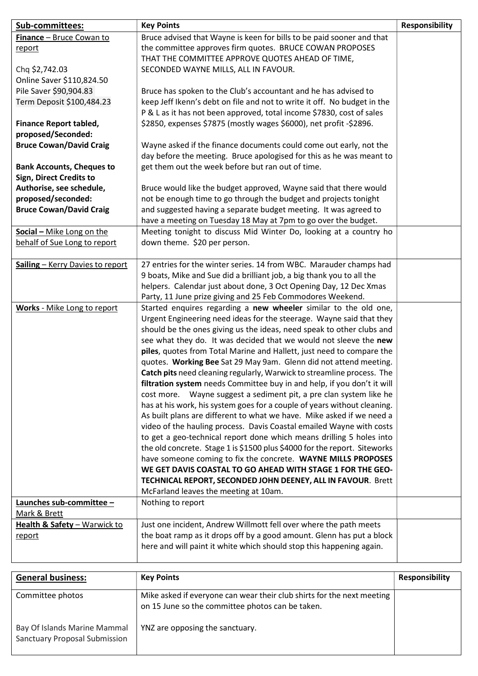| Sub-committees:                          | <b>Key Points</b>                                                                                                                                 | <b>Responsibility</b> |
|------------------------------------------|---------------------------------------------------------------------------------------------------------------------------------------------------|-----------------------|
| Finance - Bruce Cowan to                 | Bruce advised that Wayne is keen for bills to be paid sooner and that                                                                             |                       |
| report                                   | the committee approves firm quotes. BRUCE COWAN PROPOSES                                                                                          |                       |
|                                          | THAT THE COMMITTEE APPROVE QUOTES AHEAD OF TIME,                                                                                                  |                       |
| Chq \$2,742.03                           | SECONDED WAYNE MILLS, ALL IN FAVOUR.                                                                                                              |                       |
| Online Saver \$110,824.50                |                                                                                                                                                   |                       |
| Pile Saver \$90,904.83                   | Bruce has spoken to the Club's accountant and he has advised to                                                                                   |                       |
| Term Deposit \$100,484.23                | keep Jeff Ikenn's debt on file and not to write it off. No budget in the                                                                          |                       |
|                                          | P & L as it has not been approved, total income \$7830, cost of sales                                                                             |                       |
| <b>Finance Report tabled,</b>            | \$2850, expenses \$7875 (mostly wages \$6000), net profit -\$2896.                                                                                |                       |
| proposed/Seconded:                       |                                                                                                                                                   |                       |
| <b>Bruce Cowan/David Craig</b>           | Wayne asked if the finance documents could come out early, not the                                                                                |                       |
|                                          | day before the meeting. Bruce apologised for this as he was meant to                                                                              |                       |
| <b>Bank Accounts, Cheques to</b>         | get them out the week before but ran out of time.                                                                                                 |                       |
| <b>Sign, Direct Credits to</b>           |                                                                                                                                                   |                       |
| Authorise, see schedule,                 | Bruce would like the budget approved, Wayne said that there would                                                                                 |                       |
| proposed/seconded:                       | not be enough time to go through the budget and projects tonight                                                                                  |                       |
| <b>Bruce Cowan/David Craig</b>           | and suggested having a separate budget meeting. It was agreed to                                                                                  |                       |
|                                          | have a meeting on Tuesday 18 May at 7pm to go over the budget.                                                                                    |                       |
| Social - Mike Long on the                | Meeting tonight to discuss Mid Winter Do, looking at a country ho                                                                                 |                       |
| behalf of Sue Long to report             | down theme. \$20 per person.                                                                                                                      |                       |
|                                          |                                                                                                                                                   |                       |
| Sailing - Kerry Davies to report         | 27 entries for the winter series. 14 from WBC. Marauder champs had                                                                                |                       |
|                                          | 9 boats, Mike and Sue did a brilliant job, a big thank you to all the                                                                             |                       |
|                                          | helpers. Calendar just about done, 3 Oct Opening Day, 12 Dec Xmas                                                                                 |                       |
|                                          | Party, 11 June prize giving and 25 Feb Commodores Weekend.                                                                                        |                       |
| Works - Mike Long to report              | Started enquires regarding a new wheeler similar to the old one,                                                                                  |                       |
|                                          | Urgent Engineering need ideas for the steerage. Wayne said that they                                                                              |                       |
|                                          | should be the ones giving us the ideas, need speak to other clubs and                                                                             |                       |
|                                          | see what they do. It was decided that we would not sleeve the new                                                                                 |                       |
|                                          |                                                                                                                                                   |                       |
|                                          | piles, quotes from Total Marine and Hallett, just need to compare the<br>quotes. Working Bee Sat 29 May 9am. Glenn did not attend meeting.        |                       |
|                                          |                                                                                                                                                   |                       |
|                                          | Catch pits need cleaning regularly, Warwick to streamline process. The<br>filtration system needs Committee buy in and help, if you don't it will |                       |
|                                          |                                                                                                                                                   |                       |
|                                          | cost more. Wayne suggest a sediment pit, a pre clan system like he                                                                                |                       |
|                                          | has at his work, his system goes for a couple of years without cleaning.                                                                          |                       |
|                                          | As built plans are different to what we have. Mike asked if we need a                                                                             |                       |
|                                          | video of the hauling process. Davis Coastal emailed Wayne with costs                                                                              |                       |
|                                          | to get a geo-technical report done which means drilling 5 holes into                                                                              |                       |
|                                          | the old concrete. Stage 1 is \$1500 plus \$4000 for the report. Siteworks                                                                         |                       |
|                                          | have someone coming to fix the concrete. WAYNE MILLS PROPOSES<br>WE GET DAVIS COASTAL TO GO AHEAD WITH STAGE 1 FOR THE GEO-                       |                       |
|                                          |                                                                                                                                                   |                       |
|                                          | TECHNICAL REPORT, SECONDED JOHN DEENEY, ALL IN FAVOUR. Brett<br>McFarland leaves the meeting at 10am.                                             |                       |
|                                          | Nothing to report                                                                                                                                 |                       |
| Launches sub-committee -<br>Mark & Brett |                                                                                                                                                   |                       |
|                                          |                                                                                                                                                   |                       |
| Health & Safety - Warwick to             | Just one incident, Andrew Willmott fell over where the path meets<br>the boat ramp as it drops off by a good amount. Glenn has put a block        |                       |
| <u>report</u>                            |                                                                                                                                                   |                       |
|                                          | here and will paint it white which should stop this happening again.                                                                              |                       |
|                                          |                                                                                                                                                   |                       |
| <b>General business:</b>                 | <b>Key Points</b>                                                                                                                                 | <b>Responsibility</b> |
|                                          |                                                                                                                                                   |                       |
| Committee photos                         | Mike asked if everyone can wear their club shirts for the next meeting                                                                            |                       |
|                                          | on 15 June so the committee photos can be taken.                                                                                                  |                       |

Bay Of Islands Marine Mammal Sanctuary Proposal Submission YNZ are opposing the sanctuary.